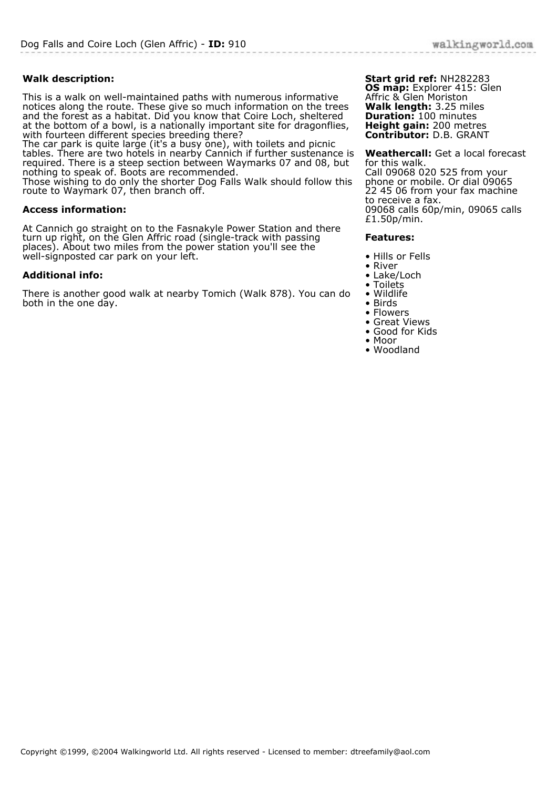## **Walk description:**

This is a walk on well-maintained paths with numerous informative notices along the route. These give so much information on the trees and the forest as a habitat. Did you know that Coire Loch, sheltered at the bottom of a bowl, is a nationally important site for dragonflies, with fourteen different species breeding there?

The car park is quite large (it's a busy one), with toilets and picnic tables. There are two hotels in nearby Cannich if further sustenance is required. There is a steep section between Waymarks 07 and 08, but nothing to speak of. Boots are recommended.

Those wishing to do only the shorter Dog Falls Walk should follow this route to Waymark 07, then branch off.

## **Access information:**

At Cannich go straight on to the Fasnakyle Power Station and there turn up right, on the Glen Affric road (single-track with passing places). About two miles from the power station you'll see the well-signposted car park on your left.

## **Additional info:**

There is another good walk at nearby Tomich (Walk 878). You can do both in the one day.

**Start grid ref:** NH282283 **OS map:** Explorer 415: Glen Affric & Glen Moriston **Walk length:** 3.25 miles **Duration:** 100 minutes **Height gain:** 200 metres **Contributor:** D.B. GRANT

**Weathercall:** Get a local forecast for this walk. Call 09068 020 525 from your phone or mobile. Or dial 09065 22 45 06 from your fax machine to receive a fax. 09068 calls 60p/min, 09065 calls £1.50p/min.

## **Features:**

- Hills or Fells
- River
- Lake/Loch
- Toilets
- Wildlife
- Birds • Flowers
- Great Views
- Good for Kids
- Moor
- Woodland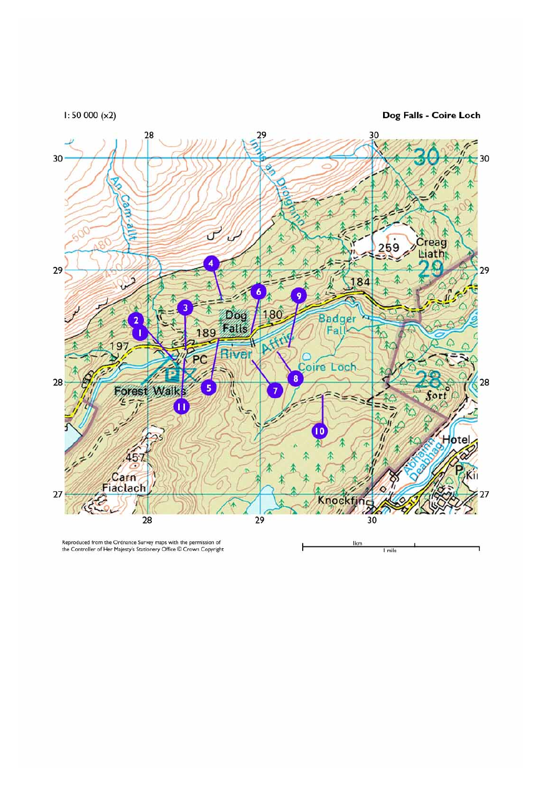$1:50000(x2)$ 

Dog Falls - Coire Loch



Reproduced from the Ordnance Survey maps with the permission of<br>the Controller of Her Majesty's Stationery Office © Crown Copyright

Ikm 1 mile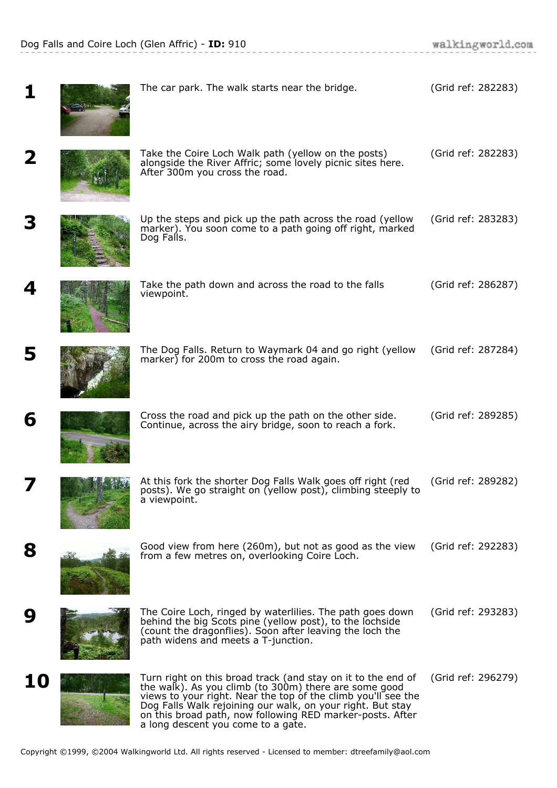|    | The car park. The walk starts near the bridge.                                                                                                                                                                                                                                                                                                          | (Grid ref: 282283) |
|----|---------------------------------------------------------------------------------------------------------------------------------------------------------------------------------------------------------------------------------------------------------------------------------------------------------------------------------------------------------|--------------------|
|    | Take the Coire Loch Walk path (yellow on the posts)<br>alongside the River Affric; some lovely picnic sites here.<br>After 300m you cross the road.                                                                                                                                                                                                     | (Grid ref: 282283) |
|    | Up the steps and pick up the path across the road (yellow<br>marker). You soon come to a path going off right, marked<br>Dog Falls.                                                                                                                                                                                                                     | (Grid ref: 283283) |
|    | Take the path down and across the road to the falls<br>viewpoint.                                                                                                                                                                                                                                                                                       | (Grid ref: 286287) |
| 5  | The Dog Falls. Return to Waymark 04 and go right (yellow<br>marker) for 200m to cross the road again.                                                                                                                                                                                                                                                   | (Grid ref: 287284) |
| 6  | Cross the road and pick up the path on the other side.<br>Continue, across the airy bridge, soon to reach a fork.                                                                                                                                                                                                                                       | (Grid ref: 289285) |
|    | At this fork the shorter Dog Falls Walk goes off right (red<br>posts). We go straight on (yellow post), climbing steeply to<br>a viewpoint.                                                                                                                                                                                                             | (Grid ref: 289282) |
| 8  | Good view from here (260m), but not as good as the view<br>from a few metres on, overlooking Coire Loch.                                                                                                                                                                                                                                                | (Grid ref: 292283) |
|    | The Coire Loch, ringed by waterlilies. The path goes down<br>behind the big Scots pine (yellow post), to the lochside<br>(count the dragonflies). Soon after leaving the loch the<br>path widens and meets a T-junction.                                                                                                                                | (Grid ref: 293283) |
| 10 | Turn right on this broad track (and stay on it to the end of<br>the walk). As you climb (to 300m) there are some good<br>views to your right. Near the top of the climb you'll see the<br>Dog Falls Walk rejoining our walk, on your right. But stay<br>on this broad path, now following RED marker-posts. After<br>a long descent you come to a gate. | (Grid ref: 296279) |

 $\alpha$  , and an  $\beta$  are  $\alpha$  and  $\alpha$  , and  $\alpha$  , and  $\alpha$  , and  $\alpha$  , and  $\alpha$  , and  $\alpha$